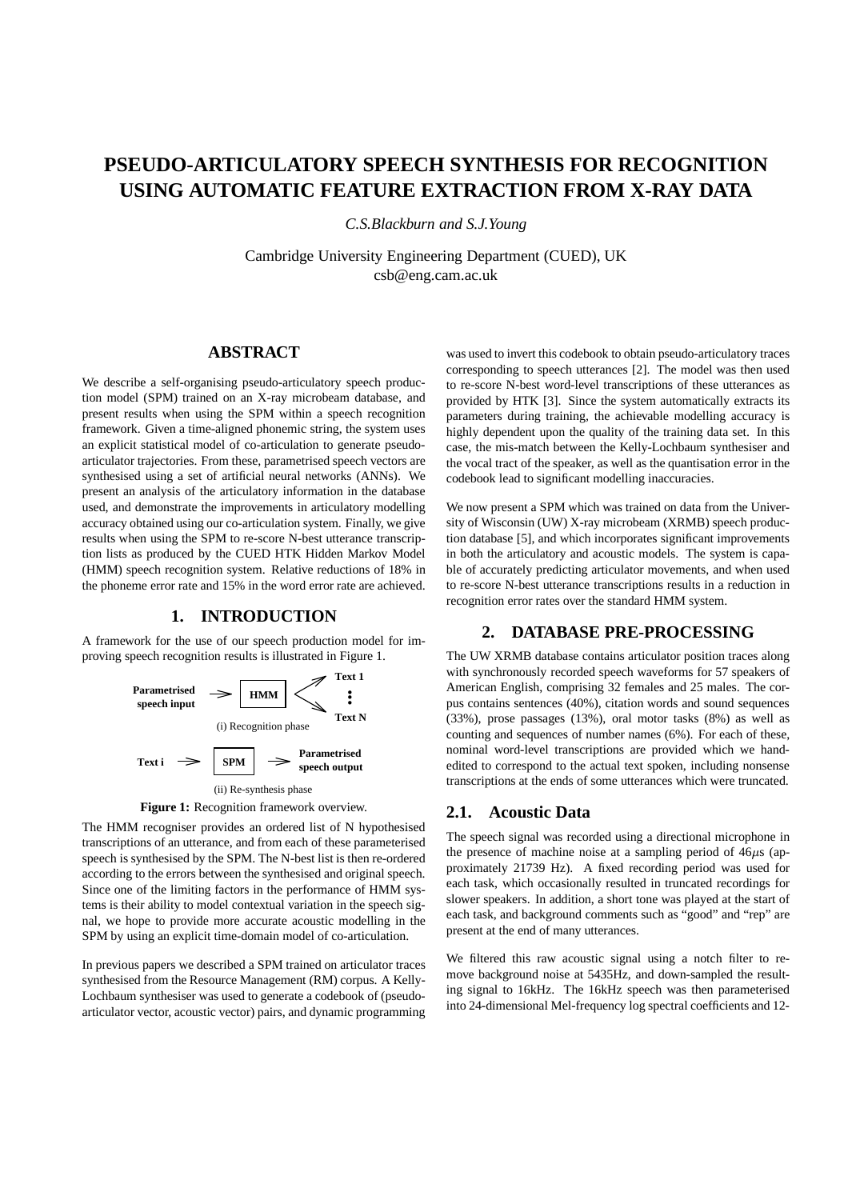# **PSEUDO-ARTICULATORY SPEECH SYNTHESIS FOR RECOGNITION USING AUTOMATIC FEATURE EXTRACTION FROM X-RAY DATA**

*C.S.Blackburn and S.J.Young*

Cambridge University Engineering Department (CUED), UK csb@eng.cam.ac.uk

# **ABSTRACT**

We describe a self-organising pseudo-articulatory speech production model (SPM) trained on an X-ray microbeam database, and present results when using the SPM within a speech recognition framework. Given a time-aligned phonemic string, the system uses an explicit statistical model of co-articulation to generate pseudoarticulator trajectories. From these, parametrised speech vectors are synthesised using a set of artificial neural networks (ANNs). We present an analysis of the articulatory information in the database used, and demonstrate the improvements in articulatory modelling accuracy obtained using our co-articulation system. Finally, we give results when using the SPM to re-score N-best utterance transcription lists as produced by the CUED HTK Hidden Markov Model (HMM) speech recognition system. Relative reductions of 18% in the phoneme error rate and 15% in the word error rate are achieved.

#### **1. INTRODUCTION**

A framework for the use of our speech production model for improving speech recognition results is illustrated in Figure 1.





The HMM recogniser provides an ordered list of N hypothesised transcriptions of an utterance, and from each of these parameterised speech is synthesised by the SPM. The N-best list is then re-ordered according to the errors between the synthesised and original speech. Since one of the limiting factors in the performance of HMM systems is their ability to model contextual variation in the speech signal, we hope to provide more accurate acoustic modelling in the SPM by using an explicit time-domain model of co-articulation.

In previous papers we described a SPM trained on articulator traces synthesised from the Resource Management (RM) corpus. A Kelly-Lochbaum synthesiser was used to generate a codebook of (pseudoarticulator vector, acoustic vector) pairs, and dynamic programming

was used to invert this codebook to obtain pseudo-articulatory traces corresponding to speech utterances [2]. The model was then used to re-score N-best word-level transcriptions of these utterances as provided by HTK [3]. Since the system automatically extracts its parameters during training, the achievable modelling accuracy is highly dependent upon the quality of the training data set. In this case, the mis-match between the Kelly-Lochbaum synthesiser and the vocal tract of the speaker, as well as the quantisation error in the codebook lead to significant modelling inaccuracies.

We now present a SPM which was trained on data from the University of Wisconsin (UW) X-ray microbeam (XRMB) speech production database [5], and which incorporates significant improvements in both the articulatory and acoustic models. The system is capable of accurately predicting articulator movements, and when used to re-score N-best utterance transcriptions results in a reduction in recognition error rates over the standard HMM system.

## **2. DATABASE PRE-PROCESSING**

The UW XRMB database contains articulator position traces along with synchronously recorded speech waveforms for 57 speakers of American English, comprising 32 females and 25 males. The corpus contains sentences (40%), citation words and sound sequences (33%), prose passages (13%), oral motor tasks (8%) as well as counting and sequences of number names (6%). For each of these, nominal word-level transcriptions are provided which we handedited to correspond to the actual text spoken, including nonsense transcriptions at the ends of some utterances which were truncated.

# **2.1. Acoustic Data**

The speech signal was recorded using a directional microphone in the presence of machine noise at a sampling period of  $46\mu s$  (approximately 21739 Hz). A fixed recording period was used for each task, which occasionally resulted in truncated recordings for slower speakers. In addition, a short tone was played at the start of each task, and background comments such as "good" and "rep" are present at the end of many utterances.

We filtered this raw acoustic signal using a notch filter to remove background noise at 5435Hz, and down-sampled the resulting signal to 16kHz. The 16kHz speech was then parameterised into 24-dimensional Mel-frequency log spectral coefficients and 12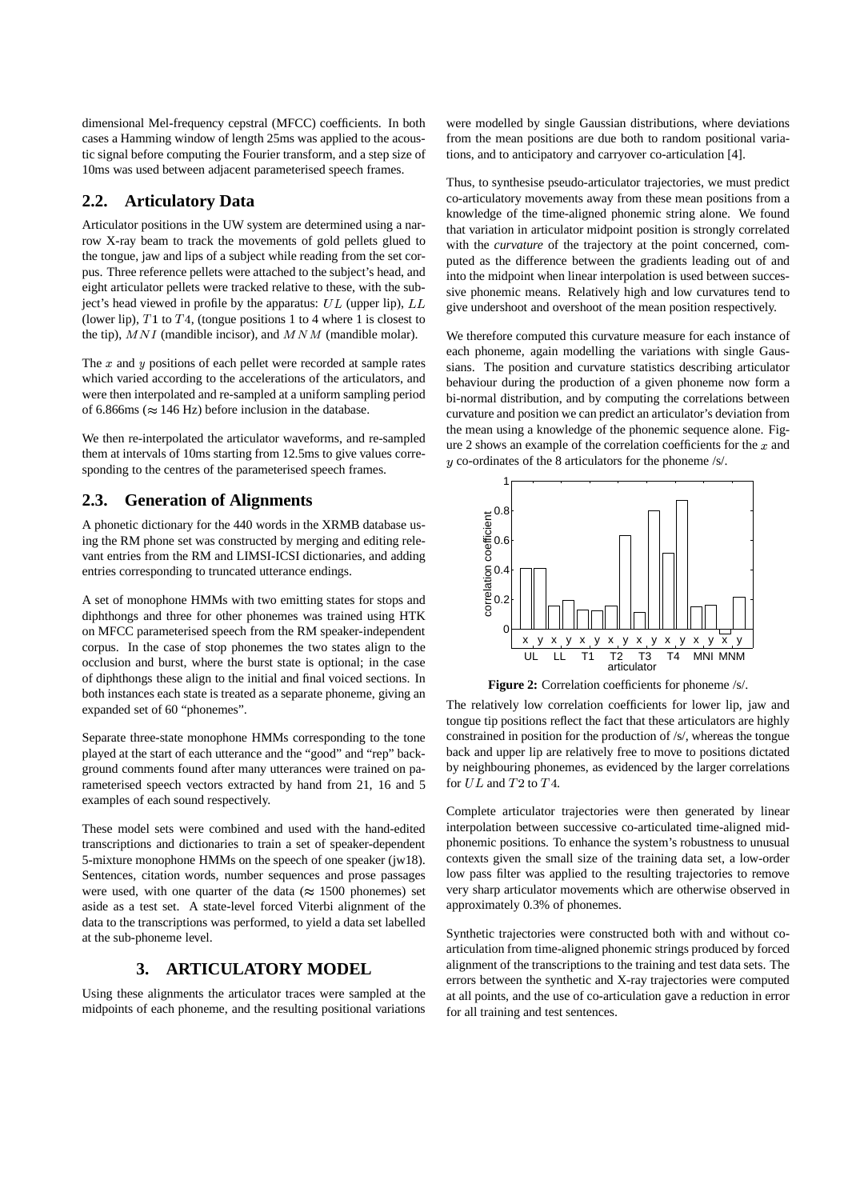dimensional Mel-frequency cepstral (MFCC) coefficients. In both cases a Hamming window of length 25ms was applied to the acoustic signal before computing the Fourier transform, and a step size of 10ms was used between adjacent parameterised speech frames.

# **2.2. Articulatory Data**

Articulator positions in the UW system are determined using a narrow X-ray beam to track the movements of gold pellets glued to the tongue, jaw and lips of a subject while reading from the set corpus. Three reference pellets were attached to the subject's head, and eight articulator pellets were tracked relative to these, with the subject's head viewed in profile by the apparatus: UL (upper lip),  $LL = \text{give}$  inde (lower lip),  $T1$  to  $T4$ , (tongue positions 1 to 4 where 1 is closest to the tip),  $MNI$  (mandible incisor), and  $MNM$  (mandible molar).

The  $x$  and  $y$  positions of each pellet were recorded at sample rates which varied according to the accelerations of the articulators, and were then interpolated and re-sampled at a uniform sampling period of 6.866ms ( $\approx$  146 Hz) before inclusion in the database.

We then re-interpolated the articulator waveforms, and re-sampled them at intervals of 10ms starting from 12.5ms to give values corresponding to the centres of the parameterised speech frames.

## **2.3. Generation of Alignments**

A phonetic dictionary for the 440 words in the XRMB database using the RM phone set was constructed by merging and editing relevant entries from the RM and LIMSI-ICSI dictionaries, and adding entries corresponding to truncated utterance endings.

A set of monophone HMMs with two emitting states for stops and diphthongs and three for other phonemes was trained using HTK on MFCC parameterised speech from the RM speaker-independent corpus. In the case of stop phonemes the two states align to the occlusion and burst, where the burst state is optional; in the case of diphthongs these align to the initial and final voiced sections. In both instances each state is treated as a separate phoneme, giving an expanded set of 60 "phonemes".

Separate three-state monophone HMMs corresponding to the tone played at the start of each utterance and the "good" and "rep" background comments found after many utterances were trained on parameterised speech vectors extracted by hand from 21, 16 and 5 examples of each sound respectively.

These model sets were combined and used with the hand-edited transcriptions and dictionaries to train a set of speaker-dependent 5-mixture monophone HMMs on the speech of one speaker (jw18). Sentences, citation words, number sequences and prose passages were used, with one quarter of the data ( $\approx 1500$  phonemes) set aside as a test set. A state-level forced Viterbi alignment of the data to the transcriptions was performed, to yield a data set labelled at the sub-phoneme level.

# **3. ARTICULATORY MODEL**

Using these alignments the articulator traces were sampled at the midpoints of each phoneme, and the resulting positional variations

were modelled by single Gaussian distributions, where deviations from the mean positions are due both to random positional variations, and to anticipatory and carryover co-articulation [4].

Thus, to synthesise pseudo-articulator trajectories, we must predict co-articulatory movements away from these mean positions from a knowledge of the time-aligned phonemic string alone. We found that variation in articulator midpoint position is strongly correlated with the *curvature* of the trajectory at the point concerned, computed as the difference between the gradients leading out of and into the midpoint when linear interpolation is used between successive phonemic means. Relatively high and low curvatures tend to give undershoot and overshoot of the mean position respectively.

We therefore computed this curvature measure for each instance of each phoneme, again modelling the variations with single Gaussians. The position and curvature statistics describing articulator behaviour during the production of a given phoneme now form a bi-normal distribution, and by computing the correlations between curvature and position we can predict an articulator's deviation from the mean using a knowledge of the phonemic sequence alone. Figure 2 shows an example of the correlation coefficients for the  $x$  and  $y$  co-ordinates of the 8 articulators for the phoneme /s/.



**Figure 2:** Correlation coefficients for phoneme /s/.

The relatively low correlation coefficients for lower lip, jaw and tongue tip positions reflect the fact that these articulators are highly constrained in position for the production of /s/, whereas the tongue back and upper lip are relatively free to move to positions dictated by neighbouring phonemes, as evidenced by the larger correlations for  $UL$  and  $T2$  to  $T4$ .

Complete articulator trajectories were then generated by linear interpolation between successive co-articulated time-aligned midphonemic positions. To enhance the system's robustness to unusual contexts given the small size of the training data set, a low-order low pass filter was applied to the resulting trajectories to remove very sharp articulator movements which are otherwise observed in approximately 0.3% of phonemes.

Synthetic trajectories were constructed both with and without coarticulation from time-aligned phonemic strings produced by forced alignment of the transcriptions to the training and test data sets. The errors between the synthetic and X-ray trajectories were computed at all points, and the use of co-articulation gave a reduction in error for all training and test sentences.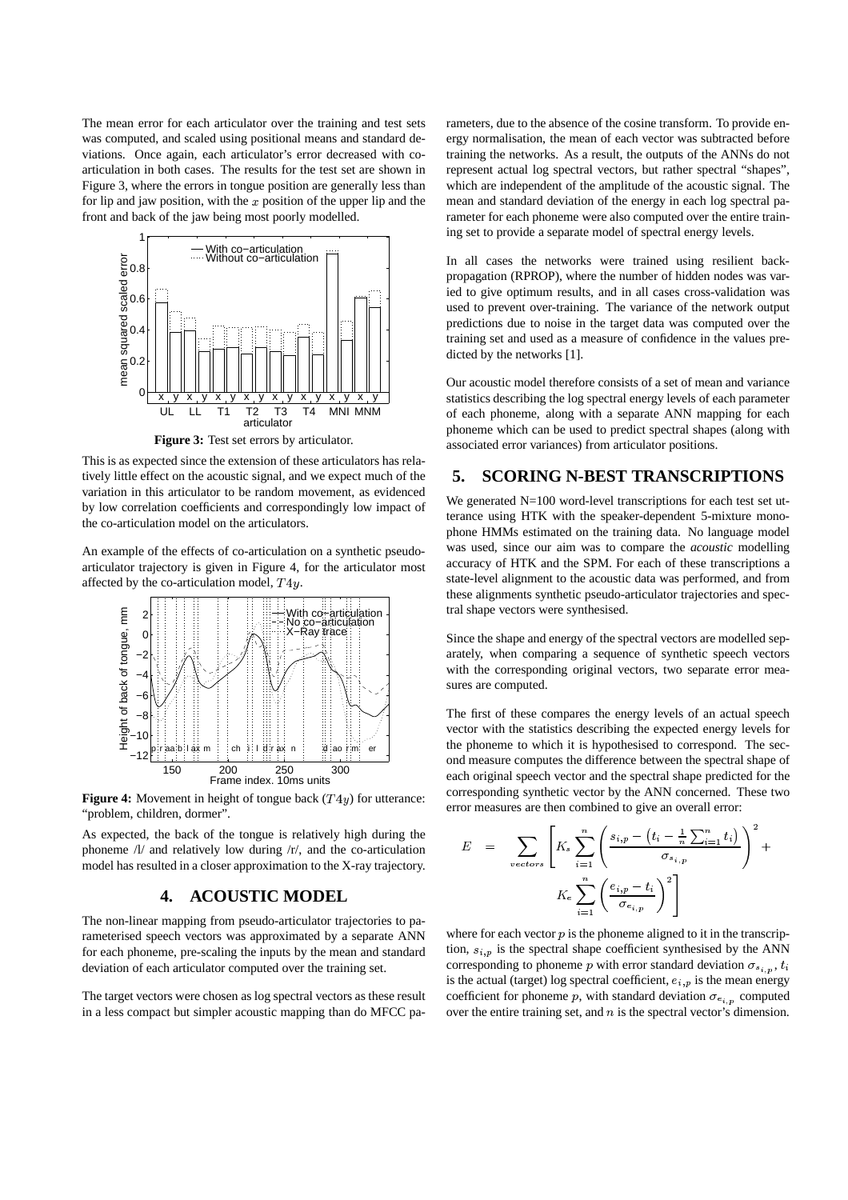The mean error for each articulator over the training and test sets was computed, and scaled using positional means and standard deviations. Once again, each articulator's error decreased with coarticulation in both cases. The results for the test set are shown in Figure 3, where the errors in tongue position are generally less than for lip and jaw position, with the  $x$  position of the upper lip and the front and back of the jaw being most poorly modelled.



**Figure 3:** Test set errors by articulator.

This is as expected since the extension of these articulators has relatively little effect on the acoustic signal, and we expect much of the variation in this articulator to be random movement, as evidenced by low correlation coefficients and correspondingly low impact of the co-articulation model on the articulators.

An example of the effects of co-articulation on a synthetic pseudoarticulator trajectory is given in Figure 4, for the articulator most affected by the co-articulation model,  $T4y$ .



**Figure 4:** Movement in height of tongue back  $(T4y)$  for utterance: "problem, children, dormer".

As expected, the back of the tongue is relatively high during the phoneme /l/ and relatively low during /r/, and the co-articulation model has resulted in a closer approximation to the X-ray trajectory.

# **4. ACOUSTIC MODEL**

The non-linear mapping from pseudo-articulator trajectories to parameterised speech vectors was approximated by a separate ANN for each phoneme, pre-scaling the inputs by the mean and standard deviation of each articulator computed over the training set.

The target vectors were chosen as log spectral vectors as these result in a less compact but simpler acoustic mapping than do MFCC parameters, due to the absence of the cosine transform. To provide energy normalisation, the mean of each vector was subtracted before training the networks. As a result, the outputs of the ANNs do not represent actual log spectral vectors, but rather spectral "shapes", which are independent of the amplitude of the acoustic signal. The mean and standard deviation of the energy in each log spectral parameter for each phoneme were also computed over the entire training set to provide a separate model of spectral energy levels.

In all cases the networks were trained using resilient backpropagation (RPROP), where the number of hidden nodes was varied to give optimum results, and in all cases cross-validation was used to prevent over-training. The variance of the network output predictions due to noise in the target data was computed over the training set and used as a measure of confidence in the values predicted by the networks [1].

Our acoustic model therefore consists of a set of mean and variance statistics describing the log spectral energy levels of each parameter of each phoneme, along with a separate ANN mapping for each phoneme which can be used to predict spectral shapes (along with associated error variances) from articulator positions.

# **5. SCORING N-BEST TRANSCRIPTIONS**

We generated N=100 word-level transcriptions for each test set utterance using HTK with the speaker-dependent 5-mixture monophone HMMs estimated on the training data. No language model was used, since our aim was to compare the *acoustic* modelling accuracy of HTK and the SPM. For each of these transcriptions a state-level alignment to the acoustic data was performed, and from these alignments synthetic pseudo-articulator trajectories and spectral shape vectors were synthesised.

Since the shape and energy of the spectral vectors are modelled separately, when comparing a sequence of synthetic speech vectors with the corresponding original vectors, two separate error measures are computed.

The first of these compares the energy levels of an actual speech vector with the statistics describing the expected energy levels for the phoneme to which it is hypothesised to correspond. The second measure computes the difference between the spectral shape of each original speech vector and the spectral shape predicted for the corresponding synthetic vector by the ANN concerned. These two error measures are then combined to give an overall error:

$$
E = \sum_{vectors} \left[ K_s \sum_{i=1}^n \left( \frac{s_{i,p} - \left( t_i - \frac{1}{n} \sum_{i=1}^n t_i \right)}{\sigma_{s_{i,p}}} \right)^2 + K_e \sum_{i=1}^n \left( \frac{e_{i,p} - t_i}{\sigma_{e_{i,p}}} \right)^2 \right]
$$

where for each vector  $p$  is the phoneme aligned to it in the transcription,  $s_{i,p}$  is the spectral shape coefficient synthesised by the ANN corresponding to phoneme p with error standard deviation  $\sigma_{s_{i,n}}$ ,  $t_i$ is the actual (target) log spectral coefficient,  $e_{i,p}$  is the mean energy coefficient for phoneme p, with standard deviation  $\sigma_{e_{i,n}}$  computed over the entire training set, and  $n$  is the spectral vector's dimension.